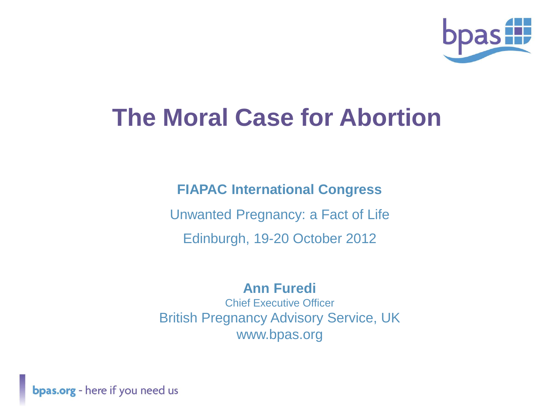

### **The Moral Case for Abortion**

**FIAPAC International Congress** Unwanted Pregnancy: a Fact of Life Edinburgh, 19-20 October 2012

#### **Ann Furedi** Chief Executive Officer British Pregnancy Advisory Service, UK www.bpas.org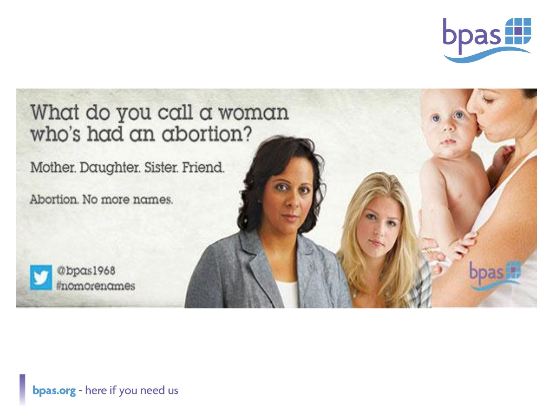

# What do you call a woman who's had an abortion? Mother. Daughter. Sister. Friend. Abortion. No more names. @bpas1968 #nomorenames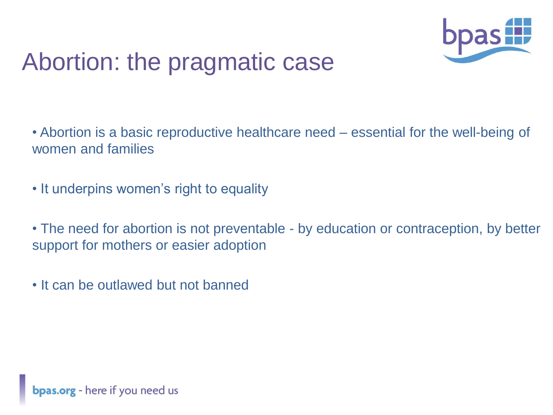

### Abortion: the pragmatic case

• Abortion is a basic reproductive healthcare need – essential for the well-being of women and families

• It underpins women's right to equality

• The need for abortion is not preventable - by education or contraception, by better support for mothers or easier adoption

• It can be outlawed but not banned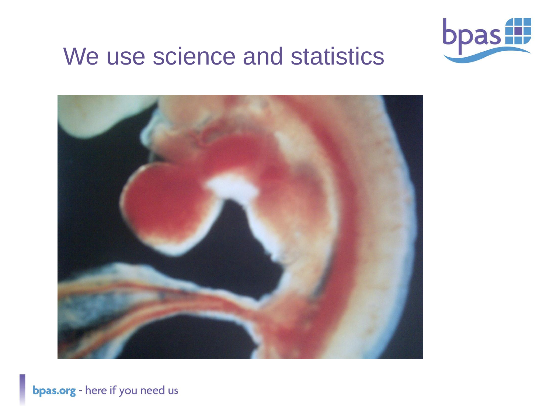

### We use science and statistics

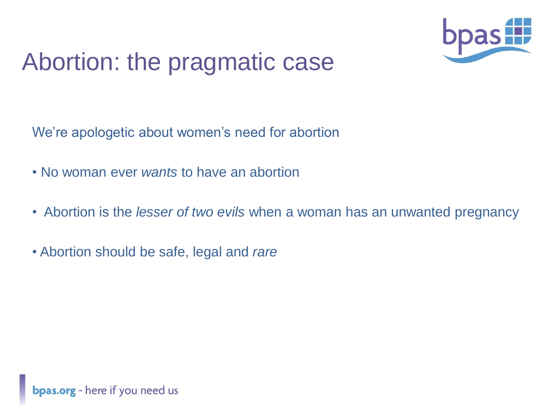

### Abortion: the pragmatic case

We're apologetic about women's need for abortion

- No woman ever *wants* to have an abortion
- Abortion is the *lesser of two evils* when a woman has an unwanted pregnancy
- Abortion should be safe, legal and *rare*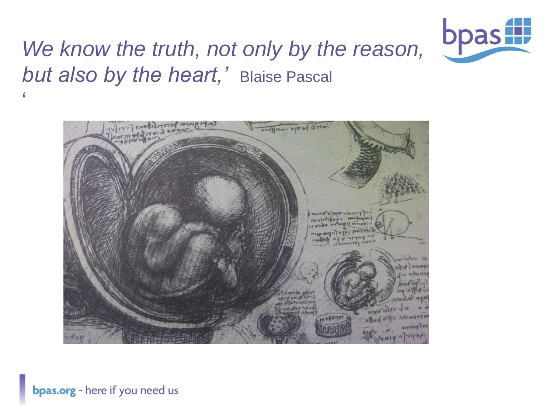

### *We know the truth, not only by the reason, but also by the heart,'* Blaise Pascal '

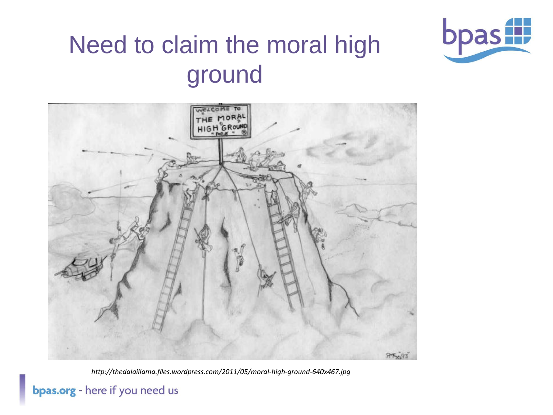

# Need to claim the moral high ground



*http://thedalaillama.files.wordpress.com/2011/05/moral-high-ground-640x467.jpg*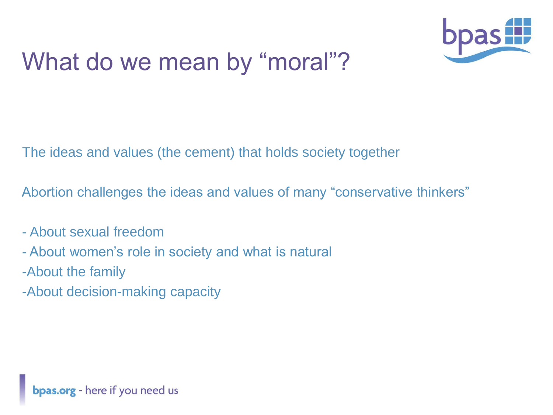

## What do we mean by "moral"?

The ideas and values (the cement) that holds society together

Abortion challenges the ideas and values of many "conservative thinkers"

- About sexual freedom
- About women's role in society and what is natural
- -About the family
- -About decision-making capacity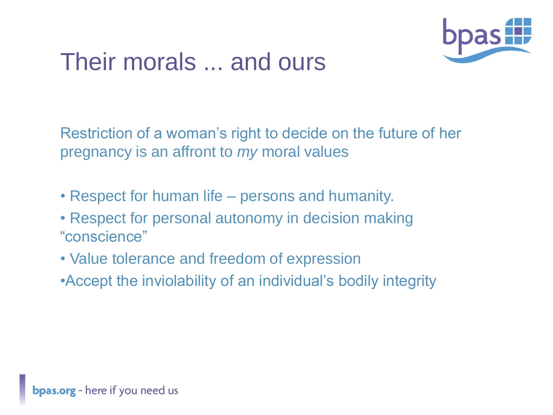

### Their morals ... and ours

Restriction of a woman's right to decide on the future of her pregnancy is an affront to *my* moral values

- Respect for human life persons and humanity.
- Respect for personal autonomy in decision making "conscience"
- Value tolerance and freedom of expression
- •Accept the inviolability of an individual's bodily integrity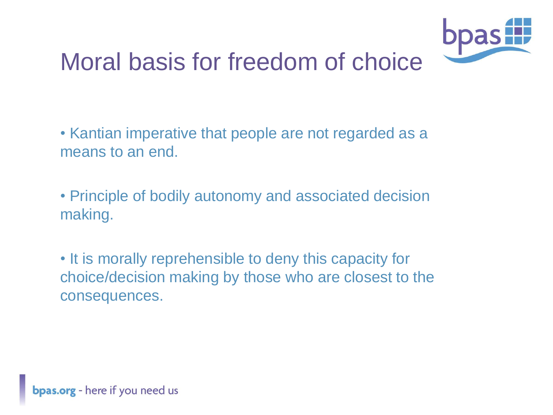

### Moral basis for freedom of choice

• Kantian imperative that people are not regarded as a means to an end.

• Principle of bodily autonomy and associated decision making.

• It is morally reprehensible to deny this capacity for choice/decision making by those who are closest to the consequences.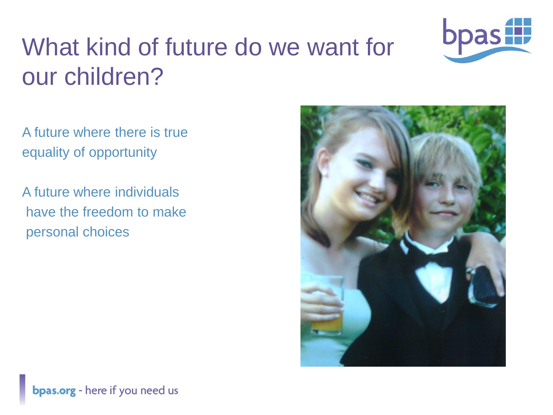

# What kind of future do we want for our children?

A future where there is true equality of opportunity

A future where individuals have the freedom to make personal choices

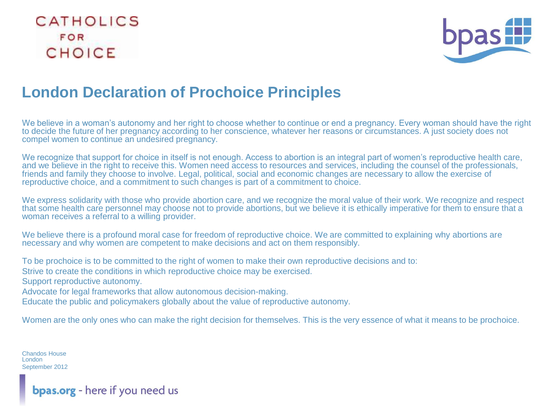#### CATHOLICS FOR CHOICE



#### **London Declaration of Prochoice Principles**

We believe in a woman's autonomy and her right to choose whether to continue or end a pregnancy. Every woman should have the right to decide the future of her pregnancy according to her conscience, whatever her reasons or circumstances. A just society does not compel women to continue an undesired pregnancy.

We recognize that support for choice in itself is not enough. Access to abortion is an integral part of women's reproductive health care, and we believe in the right to receive this. Women need access to resources and services, including the counsel of the professionals, friends and family they choose to involve. Legal, political, social and economic changes are necessary to allow the exercise of reproductive choice, and a commitment to such changes is part of a commitment to choice.

We express solidarity with those who provide abortion care, and we recognize the moral value of their work. We recognize and respect that some health care personnel may choose not to provide abortions, but we believe it is ethically imperative for them to ensure that a woman receives a referral to a willing provider.

We believe there is a profound moral case for freedom of reproductive choice. We are committed to explaining why abortions are necessary and why women are competent to make decisions and act on them responsibly.

To be prochoice is to be committed to the right of women to make their own reproductive decisions and to: Strive to create the conditions in which reproductive choice may be exercised. Support reproductive autonomy. Advocate for legal frameworks that allow autonomous decision-making. Educate the public and policymakers globally about the value of reproductive autonomy.

Women are the only ones who can make the right decision for themselves. This is the very essence of what it means to be prochoice.

Chandos House **London** September 2012